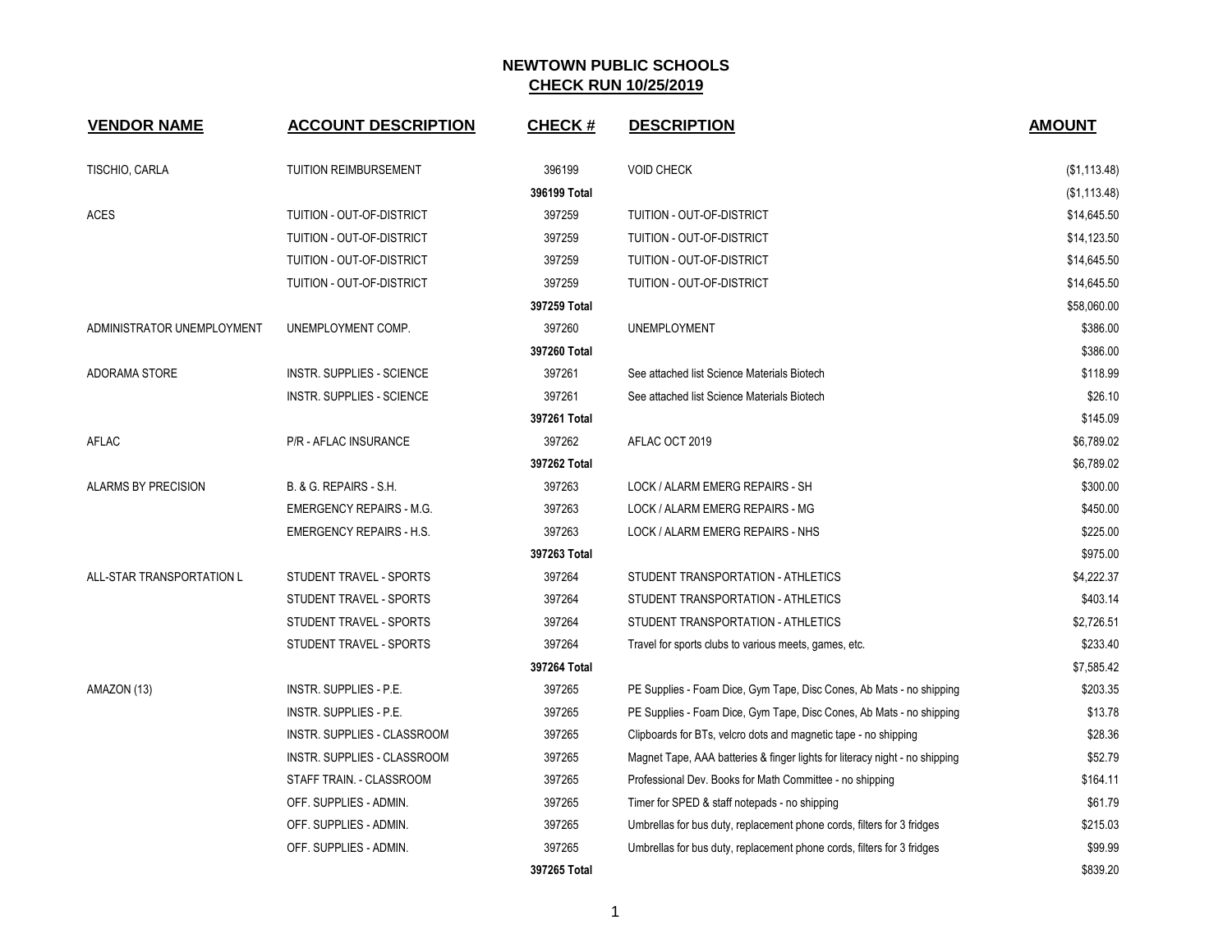| <b>VENDOR NAME</b>         | <b>ACCOUNT DESCRIPTION</b>       | <b>CHECK#</b> | <b>DESCRIPTION</b>                                                          | <b>AMOUNT</b> |
|----------------------------|----------------------------------|---------------|-----------------------------------------------------------------------------|---------------|
| TISCHIO, CARLA             | <b>TUITION REIMBURSEMENT</b>     | 396199        | <b>VOID CHECK</b>                                                           | (\$1,113.48)  |
|                            |                                  | 396199 Total  |                                                                             | (\$1,113.48)  |
| <b>ACES</b>                | TUITION - OUT-OF-DISTRICT        | 397259        | TUITION - OUT-OF-DISTRICT                                                   | \$14,645.50   |
|                            | TUITION - OUT-OF-DISTRICT        | 397259        | TUITION - OUT-OF-DISTRICT                                                   | \$14,123.50   |
|                            | TUITION - OUT-OF-DISTRICT        | 397259        | TUITION - OUT-OF-DISTRICT                                                   | \$14,645.50   |
|                            | TUITION - OUT-OF-DISTRICT        | 397259        | TUITION - OUT-OF-DISTRICT                                                   | \$14,645.50   |
|                            |                                  | 397259 Total  |                                                                             | \$58,060.00   |
| ADMINISTRATOR UNEMPLOYMENT | UNEMPLOYMENT COMP.               | 397260        | <b>UNEMPLOYMENT</b>                                                         | \$386.00      |
|                            |                                  | 397260 Total  |                                                                             | \$386.00      |
| ADORAMA STORE              | <b>INSTR. SUPPLIES - SCIENCE</b> | 397261        | See attached list Science Materials Biotech                                 | \$118.99      |
|                            | <b>INSTR. SUPPLIES - SCIENCE</b> | 397261        | See attached list Science Materials Biotech                                 | \$26.10       |
|                            |                                  | 397261 Total  |                                                                             | \$145.09      |
| <b>AFLAC</b>               | P/R - AFLAC INSURANCE            | 397262        | AFLAC OCT 2019                                                              | \$6,789.02    |
|                            |                                  | 397262 Total  |                                                                             | \$6,789.02    |
| <b>ALARMS BY PRECISION</b> | B. & G. REPAIRS - S.H.           | 397263        | LOCK / ALARM EMERG REPAIRS - SH                                             | \$300.00      |
|                            | <b>EMERGENCY REPAIRS - M.G.</b>  | 397263        | LOCK / ALARM EMERG REPAIRS - MG                                             | \$450.00      |
|                            | <b>EMERGENCY REPAIRS - H.S.</b>  | 397263        | LOCK / ALARM EMERG REPAIRS - NHS                                            | \$225.00      |
|                            |                                  | 397263 Total  |                                                                             | \$975.00      |
| ALL-STAR TRANSPORTATION L  | STUDENT TRAVEL - SPORTS          | 397264        | STUDENT TRANSPORTATION - ATHLETICS                                          | \$4,222.37    |
|                            | STUDENT TRAVEL - SPORTS          | 397264        | STUDENT TRANSPORTATION - ATHLETICS                                          | \$403.14      |
|                            | STUDENT TRAVEL - SPORTS          | 397264        | STUDENT TRANSPORTATION - ATHLETICS                                          | \$2,726.51    |
|                            | STUDENT TRAVEL - SPORTS          | 397264        | Travel for sports clubs to various meets, games, etc.                       | \$233.40      |
|                            |                                  | 397264 Total  |                                                                             | \$7,585.42    |
| AMAZON (13)                | <b>INSTR. SUPPLIES - P.E.</b>    | 397265        | PE Supplies - Foam Dice, Gym Tape, Disc Cones, Ab Mats - no shipping        | \$203.35      |
|                            | INSTR. SUPPLIES - P.E.           | 397265        | PE Supplies - Foam Dice, Gym Tape, Disc Cones, Ab Mats - no shipping        | \$13.78       |
|                            | INSTR. SUPPLIES - CLASSROOM      | 397265        | Clipboards for BTs, velcro dots and magnetic tape - no shipping             | \$28.36       |
|                            | INSTR. SUPPLIES - CLASSROOM      | 397265        | Magnet Tape, AAA batteries & finger lights for literacy night - no shipping | \$52.79       |
|                            | STAFF TRAIN. - CLASSROOM         | 397265        | Professional Dev. Books for Math Committee - no shipping                    | \$164.11      |
|                            | OFF. SUPPLIES - ADMIN.           | 397265        | Timer for SPED & staff notepads - no shipping                               | \$61.79       |
|                            | OFF. SUPPLIES - ADMIN.           | 397265        | Umbrellas for bus duty, replacement phone cords, filters for 3 fridges      | \$215.03      |
|                            | OFF. SUPPLIES - ADMIN.           | 397265        | Umbrellas for bus duty, replacement phone cords, filters for 3 fridges      | \$99.99       |
|                            |                                  | 397265 Total  |                                                                             | \$839.20      |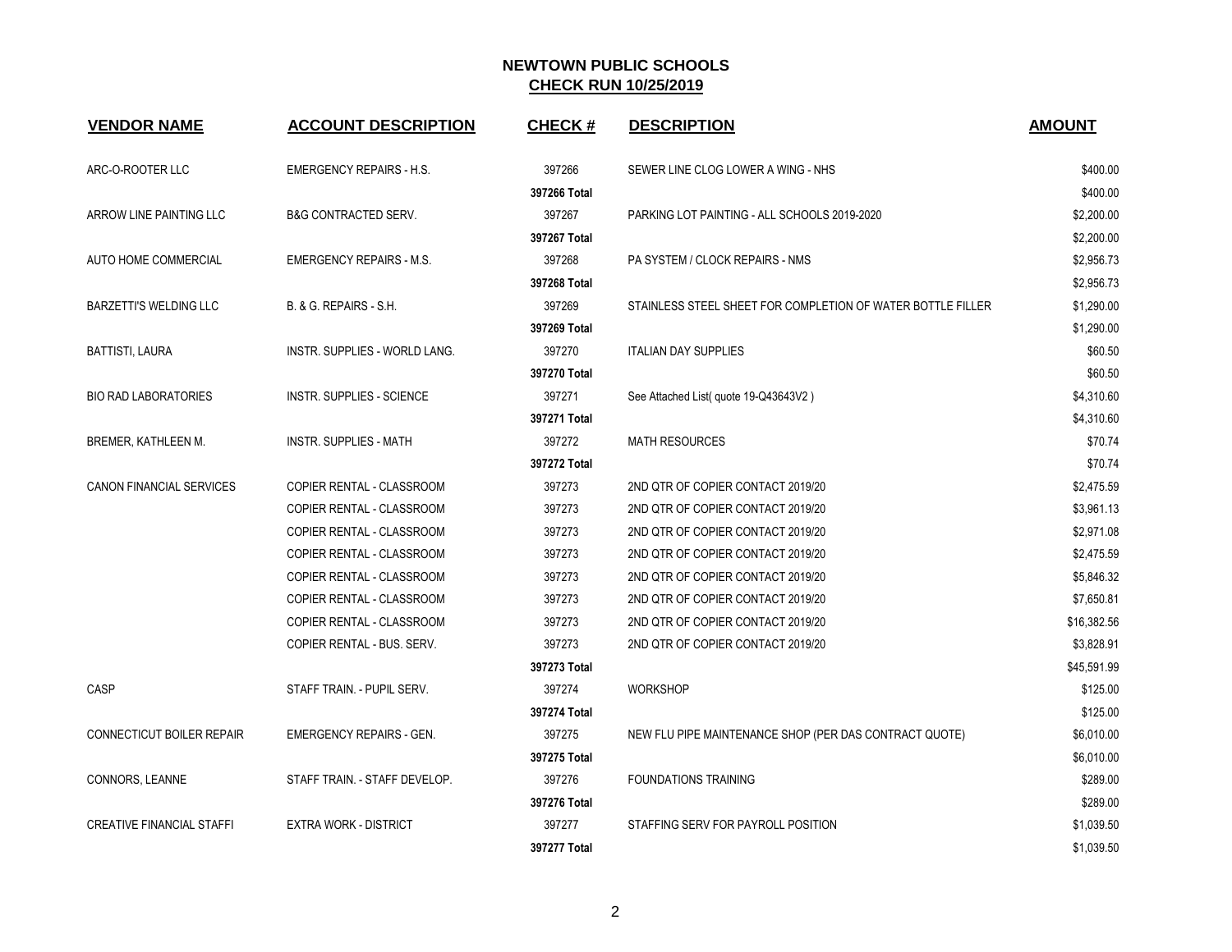| <b>VENDOR NAME</b>               | <b>ACCOUNT DESCRIPTION</b>       | <b>CHECK#</b> | <b>DESCRIPTION</b>                                          | <b>AMOUNT</b> |
|----------------------------------|----------------------------------|---------------|-------------------------------------------------------------|---------------|
| ARC-O-ROOTER LLC                 | <b>EMERGENCY REPAIRS - H.S.</b>  | 397266        | SEWER LINE CLOG LOWER A WING - NHS                          | \$400.00      |
|                                  |                                  | 397266 Total  |                                                             | \$400.00      |
| ARROW LINE PAINTING LLC          | <b>B&amp;G CONTRACTED SERV.</b>  | 397267        | PARKING LOT PAINTING - ALL SCHOOLS 2019-2020                | \$2,200.00    |
|                                  |                                  | 397267 Total  |                                                             | \$2,200.00    |
| AUTO HOME COMMERCIAL             | <b>EMERGENCY REPAIRS - M.S.</b>  | 397268        | PA SYSTEM / CLOCK REPAIRS - NMS                             | \$2,956.73    |
|                                  |                                  | 397268 Total  |                                                             | \$2,956.73    |
| <b>BARZETTI'S WELDING LLC</b>    | B. & G. REPAIRS - S.H.           | 397269        | STAINLESS STEEL SHEET FOR COMPLETION OF WATER BOTTLE FILLER | \$1,290.00    |
|                                  |                                  | 397269 Total  |                                                             | \$1,290.00    |
| BATTISTI, LAURA                  | INSTR. SUPPLIES - WORLD LANG.    | 397270        | <b>ITALIAN DAY SUPPLIES</b>                                 | \$60.50       |
|                                  |                                  | 397270 Total  |                                                             | \$60.50       |
| <b>BIO RAD LABORATORIES</b>      | <b>INSTR. SUPPLIES - SCIENCE</b> | 397271        | See Attached List (quote 19-Q43643V2)                       | \$4,310.60    |
|                                  |                                  | 397271 Total  |                                                             | \$4,310.60    |
| BREMER, KATHLEEN M.              | <b>INSTR. SUPPLIES - MATH</b>    | 397272        | <b>MATH RESOURCES</b>                                       | \$70.74       |
|                                  |                                  | 397272 Total  |                                                             | \$70.74       |
| CANON FINANCIAL SERVICES         | COPIER RENTAL - CLASSROOM        | 397273        | 2ND QTR OF COPIER CONTACT 2019/20                           | \$2,475.59    |
|                                  | COPIER RENTAL - CLASSROOM        | 397273        | 2ND QTR OF COPIER CONTACT 2019/20                           | \$3,961.13    |
|                                  | COPIER RENTAL - CLASSROOM        | 397273        | 2ND QTR OF COPIER CONTACT 2019/20                           | \$2,971.08    |
|                                  | COPIER RENTAL - CLASSROOM        | 397273        | 2ND QTR OF COPIER CONTACT 2019/20                           | \$2,475.59    |
|                                  | COPIER RENTAL - CLASSROOM        | 397273        | 2ND QTR OF COPIER CONTACT 2019/20                           | \$5,846.32    |
|                                  | COPIER RENTAL - CLASSROOM        | 397273        | 2ND QTR OF COPIER CONTACT 2019/20                           | \$7,650.81    |
|                                  | COPIER RENTAL - CLASSROOM        | 397273        | 2ND QTR OF COPIER CONTACT 2019/20                           | \$16,382.56   |
|                                  | COPIER RENTAL - BUS. SERV.       | 397273        | 2ND QTR OF COPIER CONTACT 2019/20                           | \$3,828.91    |
|                                  |                                  | 397273 Total  |                                                             | \$45,591.99   |
| <b>CASP</b>                      | STAFF TRAIN. - PUPIL SERV.       | 397274        | <b>WORKSHOP</b>                                             | \$125.00      |
|                                  |                                  | 397274 Total  |                                                             | \$125.00      |
| <b>CONNECTICUT BOILER REPAIR</b> | <b>EMERGENCY REPAIRS - GEN.</b>  | 397275        | NEW FLU PIPE MAINTENANCE SHOP (PER DAS CONTRACT QUOTE)      | \$6,010.00    |
|                                  |                                  | 397275 Total  |                                                             | \$6,010.00    |
| CONNORS, LEANNE                  | STAFF TRAIN. - STAFF DEVELOP.    | 397276        | <b>FOUNDATIONS TRAINING</b>                                 | \$289.00      |
|                                  |                                  | 397276 Total  |                                                             | \$289.00      |
| <b>CREATIVE FINANCIAL STAFFI</b> | <b>EXTRA WORK - DISTRICT</b>     | 397277        | STAFFING SERV FOR PAYROLL POSITION                          | \$1,039.50    |
|                                  |                                  | 397277 Total  |                                                             | \$1,039.50    |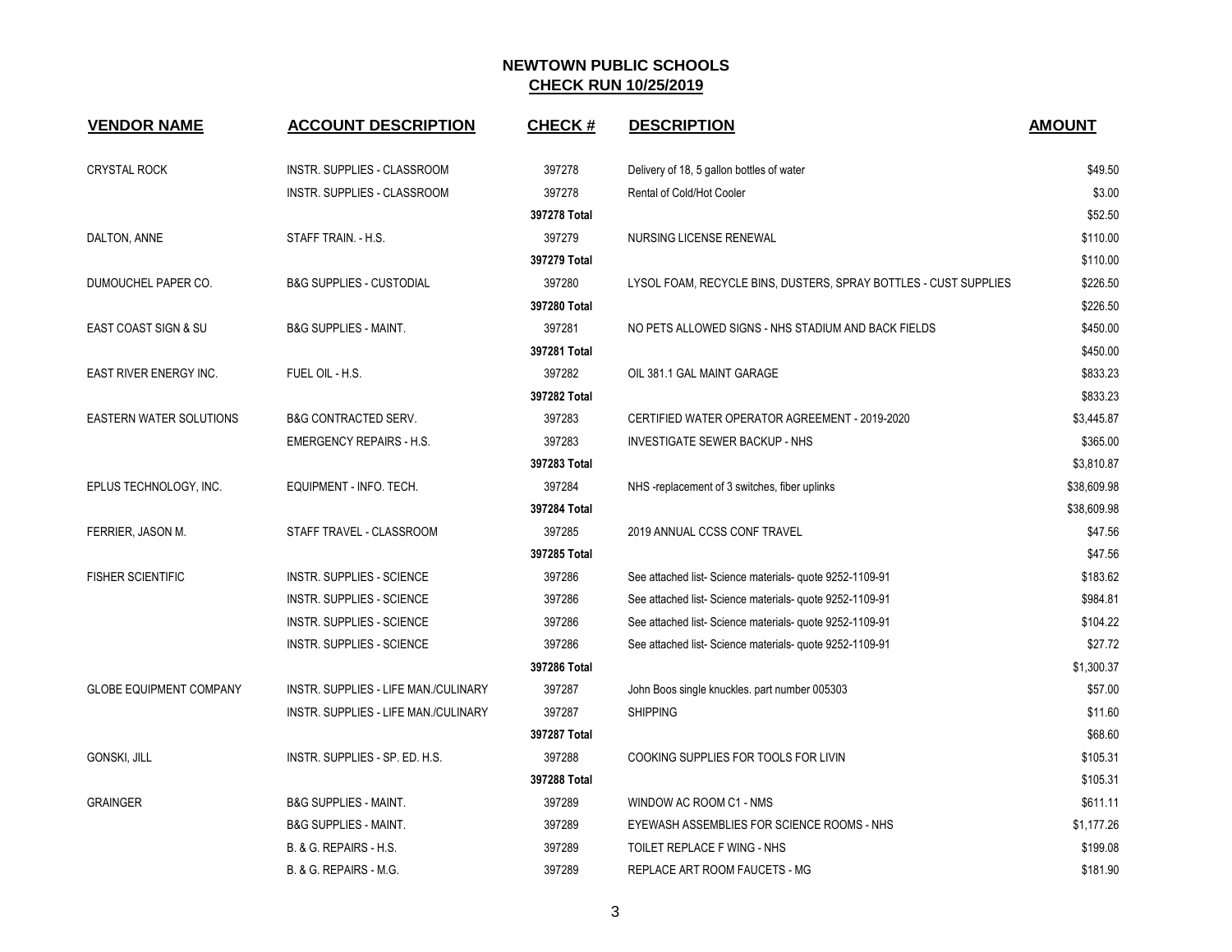| <b>VENDOR NAME</b>             | <b>ACCOUNT DESCRIPTION</b>           | <b>CHECK#</b> | <b>DESCRIPTION</b>                                               | <b>AMOUNT</b> |
|--------------------------------|--------------------------------------|---------------|------------------------------------------------------------------|---------------|
| <b>CRYSTAL ROCK</b>            | INSTR. SUPPLIES - CLASSROOM          | 397278        | Delivery of 18, 5 gallon bottles of water                        | \$49.50       |
|                                | INSTR. SUPPLIES - CLASSROOM          | 397278        | Rental of Cold/Hot Cooler                                        | \$3.00        |
|                                |                                      | 397278 Total  |                                                                  | \$52.50       |
| DALTON, ANNE                   | STAFF TRAIN. - H.S.                  | 397279        | NURSING LICENSE RENEWAL                                          | \$110.00      |
|                                |                                      | 397279 Total  |                                                                  | \$110.00      |
| DUMOUCHEL PAPER CO.            | <b>B&amp;G SUPPLIES - CUSTODIAL</b>  | 397280        | LYSOL FOAM, RECYCLE BINS, DUSTERS, SPRAY BOTTLES - CUST SUPPLIES | \$226.50      |
|                                |                                      | 397280 Total  |                                                                  | \$226.50      |
| EAST COAST SIGN & SU           | <b>B&amp;G SUPPLIES - MAINT.</b>     | 397281        | NO PETS ALLOWED SIGNS - NHS STADIUM AND BACK FIELDS              | \$450.00      |
|                                |                                      | 397281 Total  |                                                                  | \$450.00      |
| EAST RIVER ENERGY INC.         | FUEL OIL - H.S.                      | 397282        | OIL 381.1 GAL MAINT GARAGE                                       | \$833.23      |
|                                |                                      | 397282 Total  |                                                                  | \$833.23      |
| <b>EASTERN WATER SOLUTIONS</b> | <b>B&amp;G CONTRACTED SERV.</b>      | 397283        | CERTIFIED WATER OPERATOR AGREEMENT - 2019-2020                   | \$3,445.87    |
|                                | <b>EMERGENCY REPAIRS - H.S.</b>      | 397283        | <b>INVESTIGATE SEWER BACKUP - NHS</b>                            | \$365.00      |
|                                |                                      | 397283 Total  |                                                                  | \$3,810.87    |
| EPLUS TECHNOLOGY, INC.         | EQUIPMENT - INFO. TECH.              | 397284        | NHS-replacement of 3 switches, fiber uplinks                     | \$38,609.98   |
|                                |                                      | 397284 Total  |                                                                  | \$38,609.98   |
| FERRIER, JASON M.              | STAFF TRAVEL - CLASSROOM             | 397285        | 2019 ANNUAL CCSS CONF TRAVEL                                     | \$47.56       |
|                                |                                      | 397285 Total  |                                                                  | \$47.56       |
| <b>FISHER SCIENTIFIC</b>       | <b>INSTR. SUPPLIES - SCIENCE</b>     | 397286        | See attached list-Science materials- quote 9252-1109-91          | \$183.62      |
|                                | <b>INSTR. SUPPLIES - SCIENCE</b>     | 397286        | See attached list-Science materials- quote 9252-1109-91          | \$984.81      |
|                                | INSTR. SUPPLIES - SCIENCE            | 397286        | See attached list- Science materials- quote 9252-1109-91         | \$104.22      |
|                                | INSTR. SUPPLIES - SCIENCE            | 397286        | See attached list-Science materials- quote 9252-1109-91          | \$27.72       |
|                                |                                      | 397286 Total  |                                                                  | \$1,300.37    |
| <b>GLOBE EQUIPMENT COMPANY</b> | INSTR. SUPPLIES - LIFE MAN./CULINARY | 397287        | John Boos single knuckles. part number 005303                    | \$57.00       |
|                                | INSTR. SUPPLIES - LIFE MAN./CULINARY | 397287        | <b>SHIPPING</b>                                                  | \$11.60       |
|                                |                                      | 397287 Total  |                                                                  | \$68.60       |
| GONSKI, JILL                   | INSTR. SUPPLIES - SP. ED. H.S.       | 397288        | COOKING SUPPLIES FOR TOOLS FOR LIVIN                             | \$105.31      |
|                                |                                      | 397288 Total  |                                                                  | \$105.31      |
| <b>GRAINGER</b>                | <b>B&amp;G SUPPLIES - MAINT.</b>     | 397289        | WINDOW AC ROOM C1 - NMS                                          | \$611.11      |
|                                | <b>B&amp;G SUPPLIES - MAINT.</b>     | 397289        | EYEWASH ASSEMBLIES FOR SCIENCE ROOMS - NHS                       | \$1,177.26    |
|                                | B. & G. REPAIRS - H.S.               | 397289        | TOILET REPLACE F WING - NHS                                      | \$199.08      |
|                                | B. & G. REPAIRS - M.G.               | 397289        | REPLACE ART ROOM FAUCETS - MG                                    | \$181.90      |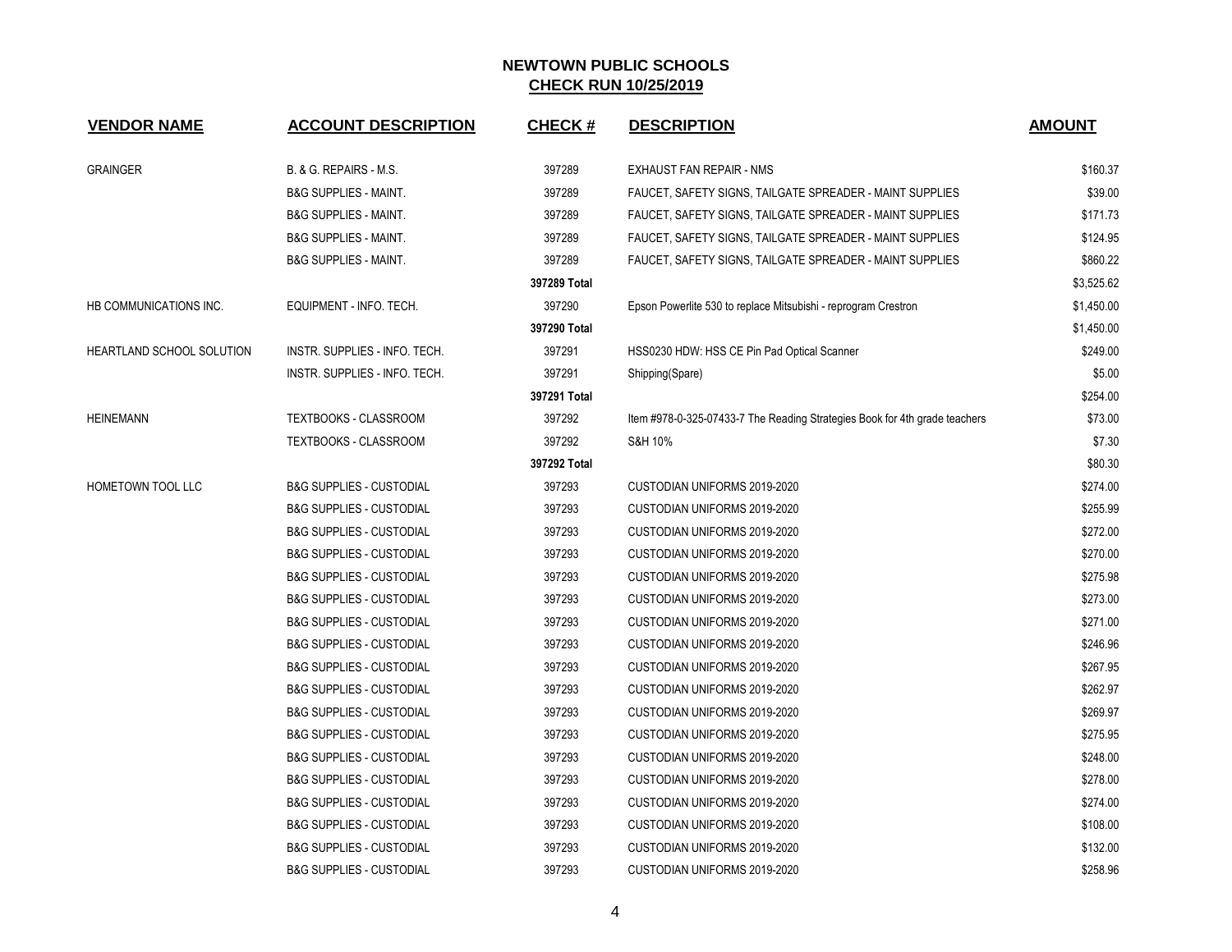| <b>VENDOR NAME</b>        | <b>ACCOUNT DESCRIPTION</b>          | <b>CHECK#</b> | <b>DESCRIPTION</b>                                                         | <b>AMOUNT</b> |
|---------------------------|-------------------------------------|---------------|----------------------------------------------------------------------------|---------------|
| <b>GRAINGER</b>           | B. & G. REPAIRS - M.S.              | 397289        | EXHAUST FAN REPAIR - NMS                                                   | \$160.37      |
|                           | <b>B&amp;G SUPPLIES - MAINT.</b>    | 397289        | FAUCET, SAFETY SIGNS, TAILGATE SPREADER - MAINT SUPPLIES                   | \$39.00       |
|                           | <b>B&amp;G SUPPLIES - MAINT.</b>    | 397289        | FAUCET, SAFETY SIGNS, TAILGATE SPREADER - MAINT SUPPLIES                   | \$171.73      |
|                           | <b>B&amp;G SUPPLIES - MAINT.</b>    | 397289        | FAUCET, SAFETY SIGNS, TAILGATE SPREADER - MAINT SUPPLIES                   | \$124.95      |
|                           | <b>B&amp;G SUPPLIES - MAINT.</b>    | 397289        | FAUCET, SAFETY SIGNS, TAILGATE SPREADER - MAINT SUPPLIES                   | \$860.22      |
|                           |                                     | 397289 Total  |                                                                            | \$3,525.62    |
| HB COMMUNICATIONS INC.    | EQUIPMENT - INFO. TECH.             | 397290        | Epson Powerlite 530 to replace Mitsubishi - reprogram Crestron             | \$1,450.00    |
|                           |                                     | 397290 Total  |                                                                            | \$1,450.00    |
| HEARTLAND SCHOOL SOLUTION | INSTR. SUPPLIES - INFO. TECH.       | 397291        | HSS0230 HDW: HSS CE Pin Pad Optical Scanner                                | \$249.00      |
|                           | INSTR. SUPPLIES - INFO. TECH.       | 397291        | Shipping(Spare)                                                            | \$5.00        |
|                           |                                     | 397291 Total  |                                                                            | \$254.00      |
| <b>HEINEMANN</b>          | TEXTBOOKS - CLASSROOM               | 397292        | Item #978-0-325-07433-7 The Reading Strategies Book for 4th grade teachers | \$73.00       |
|                           | TEXTBOOKS - CLASSROOM               | 397292        | S&H 10%                                                                    | \$7.30        |
|                           |                                     | 397292 Total  |                                                                            | \$80.30       |
| HOMETOWN TOOL LLC         | <b>B&amp;G SUPPLIES - CUSTODIAL</b> | 397293        | CUSTODIAN UNIFORMS 2019-2020                                               | \$274.00      |
|                           | <b>B&amp;G SUPPLIES - CUSTODIAL</b> | 397293        | CUSTODIAN UNIFORMS 2019-2020                                               | \$255.99      |
|                           | <b>B&amp;G SUPPLIES - CUSTODIAL</b> | 397293        | CUSTODIAN UNIFORMS 2019-2020                                               | \$272.00      |
|                           | <b>B&amp;G SUPPLIES - CUSTODIAL</b> | 397293        | CUSTODIAN UNIFORMS 2019-2020                                               | \$270.00      |
|                           | <b>B&amp;G SUPPLIES - CUSTODIAL</b> | 397293        | CUSTODIAN UNIFORMS 2019-2020                                               | \$275.98      |
|                           | <b>B&amp;G SUPPLIES - CUSTODIAL</b> | 397293        | CUSTODIAN UNIFORMS 2019-2020                                               | \$273.00      |
|                           | <b>B&amp;G SUPPLIES - CUSTODIAL</b> | 397293        | CUSTODIAN UNIFORMS 2019-2020                                               | \$271.00      |
|                           | <b>B&amp;G SUPPLIES - CUSTODIAL</b> | 397293        | CUSTODIAN UNIFORMS 2019-2020                                               | \$246.96      |
|                           | <b>B&amp;G SUPPLIES - CUSTODIAL</b> | 397293        | CUSTODIAN UNIFORMS 2019-2020                                               | \$267.95      |
|                           | <b>B&amp;G SUPPLIES - CUSTODIAL</b> | 397293        | CUSTODIAN UNIFORMS 2019-2020                                               | \$262.97      |
|                           | <b>B&amp;G SUPPLIES - CUSTODIAL</b> | 397293        | CUSTODIAN UNIFORMS 2019-2020                                               | \$269.97      |
|                           | <b>B&amp;G SUPPLIES - CUSTODIAL</b> | 397293        | CUSTODIAN UNIFORMS 2019-2020                                               | \$275.95      |
|                           | <b>B&amp;G SUPPLIES - CUSTODIAL</b> | 397293        | CUSTODIAN UNIFORMS 2019-2020                                               | \$248.00      |
|                           | <b>B&amp;G SUPPLIES - CUSTODIAL</b> | 397293        | CUSTODIAN UNIFORMS 2019-2020                                               | \$278.00      |
|                           | <b>B&amp;G SUPPLIES - CUSTODIAL</b> | 397293        | CUSTODIAN UNIFORMS 2019-2020                                               | \$274.00      |
|                           | <b>B&amp;G SUPPLIES - CUSTODIAL</b> | 397293        | CUSTODIAN UNIFORMS 2019-2020                                               | \$108.00      |
|                           | <b>B&amp;G SUPPLIES - CUSTODIAL</b> | 397293        | CUSTODIAN UNIFORMS 2019-2020                                               | \$132.00      |
|                           | <b>B&amp;G SUPPLIES - CUSTODIAL</b> | 397293        | CUSTODIAN UNIFORMS 2019-2020                                               | \$258.96      |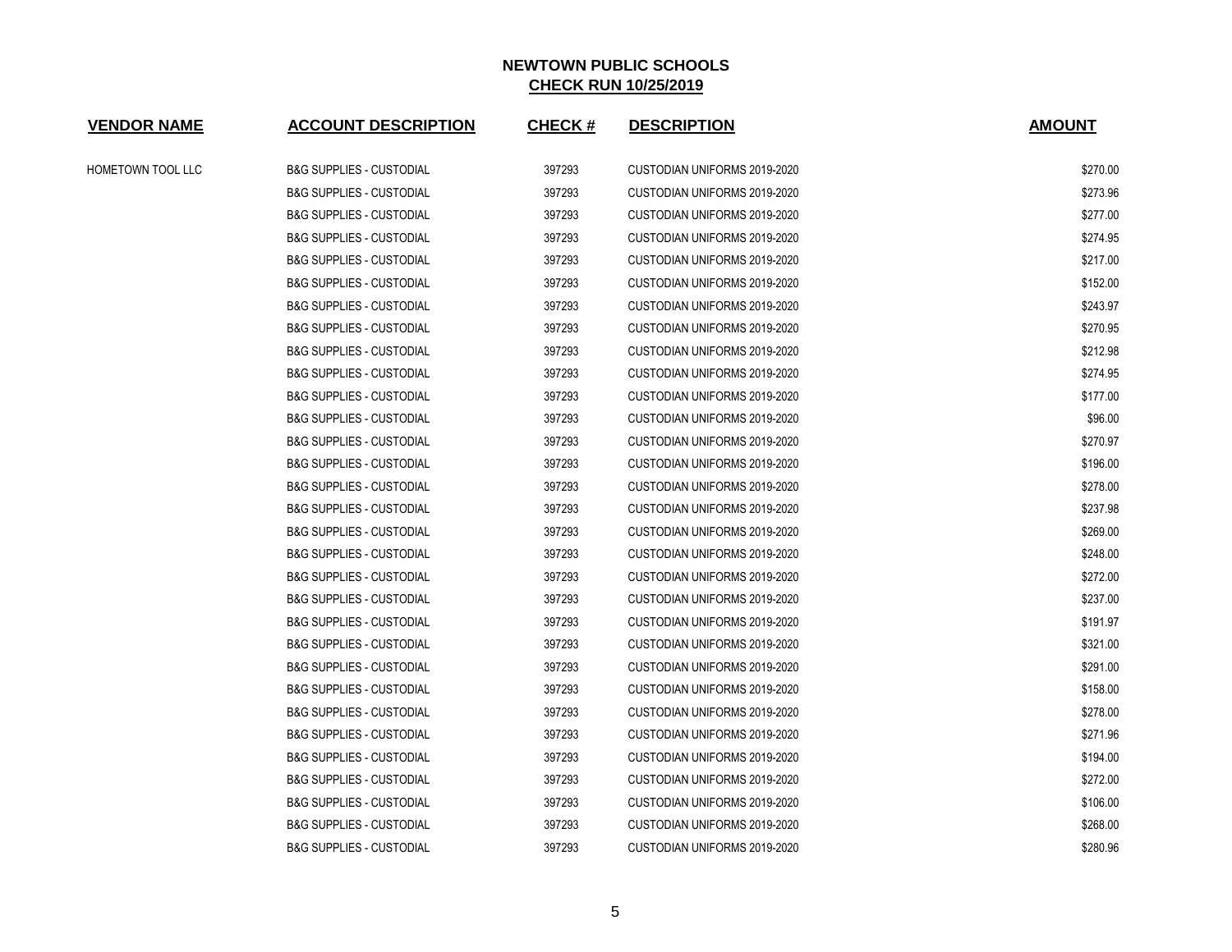| <b>VENDOR NAME</b> | <b>ACCOUNT DESCRIPTION</b>          | <b>CHECK#</b> | <b>DESCRIPTION</b>                  | <b>AMOUNT</b> |
|--------------------|-------------------------------------|---------------|-------------------------------------|---------------|
| HOMETOWN TOOL LLC  | <b>B&amp;G SUPPLIES - CUSTODIAL</b> | 397293        | CUSTODIAN UNIFORMS 2019-2020        | \$270.00      |
|                    | <b>B&amp;G SUPPLIES - CUSTODIAL</b> | 397293        | CUSTODIAN UNIFORMS 2019-2020        | \$273.96      |
|                    | <b>B&amp;G SUPPLIES - CUSTODIAL</b> | 397293        | CUSTODIAN UNIFORMS 2019-2020        | \$277.00      |
|                    | <b>B&amp;G SUPPLIES - CUSTODIAL</b> | 397293        | CUSTODIAN UNIFORMS 2019-2020        | \$274.95      |
|                    | <b>B&amp;G SUPPLIES - CUSTODIAL</b> | 397293        | <b>CUSTODIAN UNIFORMS 2019-2020</b> | \$217.00      |
|                    | <b>B&amp;G SUPPLIES - CUSTODIAL</b> | 397293        | <b>CUSTODIAN UNIFORMS 2019-2020</b> | \$152.00      |
|                    | <b>B&amp;G SUPPLIES - CUSTODIAL</b> | 397293        | CUSTODIAN UNIFORMS 2019-2020        | \$243.97      |
|                    | <b>B&amp;G SUPPLIES - CUSTODIAL</b> | 397293        | CUSTODIAN UNIFORMS 2019-2020        | \$270.95      |
|                    | <b>B&amp;G SUPPLIES - CUSTODIAL</b> | 397293        | CUSTODIAN UNIFORMS 2019-2020        | \$212.98      |
|                    | <b>B&amp;G SUPPLIES - CUSTODIAL</b> | 397293        | CUSTODIAN UNIFORMS 2019-2020        | \$274.95      |
|                    | <b>B&amp;G SUPPLIES - CUSTODIAL</b> | 397293        | CUSTODIAN UNIFORMS 2019-2020        | \$177.00      |
|                    | <b>B&amp;G SUPPLIES - CUSTODIAL</b> | 397293        | CUSTODIAN UNIFORMS 2019-2020        | \$96.00       |
|                    | <b>B&amp;G SUPPLIES - CUSTODIAL</b> | 397293        | CUSTODIAN UNIFORMS 2019-2020        | \$270.97      |
|                    | <b>B&amp;G SUPPLIES - CUSTODIAL</b> | 397293        | CUSTODIAN UNIFORMS 2019-2020        | \$196.00      |
|                    | <b>B&amp;G SUPPLIES - CUSTODIAL</b> | 397293        | CUSTODIAN UNIFORMS 2019-2020        | \$278.00      |
|                    | <b>B&amp;G SUPPLIES - CUSTODIAL</b> | 397293        | <b>CUSTODIAN UNIFORMS 2019-2020</b> | \$237.98      |
|                    | <b>B&amp;G SUPPLIES - CUSTODIAL</b> | 397293        | CUSTODIAN UNIFORMS 2019-2020        | \$269.00      |
|                    | <b>B&amp;G SUPPLIES - CUSTODIAL</b> | 397293        | CUSTODIAN UNIFORMS 2019-2020        | \$248.00      |
|                    | <b>B&amp;G SUPPLIES - CUSTODIAL</b> | 397293        | CUSTODIAN UNIFORMS 2019-2020        | \$272.00      |
|                    | <b>B&amp;G SUPPLIES - CUSTODIAL</b> | 397293        | CUSTODIAN UNIFORMS 2019-2020        | \$237.00      |
|                    | <b>B&amp;G SUPPLIES - CUSTODIAL</b> | 397293        | CUSTODIAN UNIFORMS 2019-2020        | \$191.97      |
|                    | <b>B&amp;G SUPPLIES - CUSTODIAL</b> | 397293        | CUSTODIAN UNIFORMS 2019-2020        | \$321.00      |
|                    | <b>B&amp;G SUPPLIES - CUSTODIAL</b> | 397293        | CUSTODIAN UNIFORMS 2019-2020        | \$291.00      |
|                    | <b>B&amp;G SUPPLIES - CUSTODIAL</b> | 397293        | CUSTODIAN UNIFORMS 2019-2020        | \$158.00      |
|                    | <b>B&amp;G SUPPLIES - CUSTODIAL</b> | 397293        | CUSTODIAN UNIFORMS 2019-2020        | \$278.00      |
|                    | <b>B&amp;G SUPPLIES - CUSTODIAL</b> | 397293        | CUSTODIAN UNIFORMS 2019-2020        | \$271.96      |
|                    | <b>B&amp;G SUPPLIES - CUSTODIAL</b> | 397293        | CUSTODIAN UNIFORMS 2019-2020        | \$194.00      |
|                    | <b>B&amp;G SUPPLIES - CUSTODIAL</b> | 397293        | CUSTODIAN UNIFORMS 2019-2020        | \$272.00      |
|                    | <b>B&amp;G SUPPLIES - CUSTODIAL</b> | 397293        | CUSTODIAN UNIFORMS 2019-2020        | \$106.00      |
|                    | <b>B&amp;G SUPPLIES - CUSTODIAL</b> | 397293        | <b>CUSTODIAN UNIFORMS 2019-2020</b> | \$268.00      |
|                    | <b>B&amp;G SUPPLIES - CUSTODIAL</b> | 397293        | CUSTODIAN UNIFORMS 2019-2020        | \$280.96      |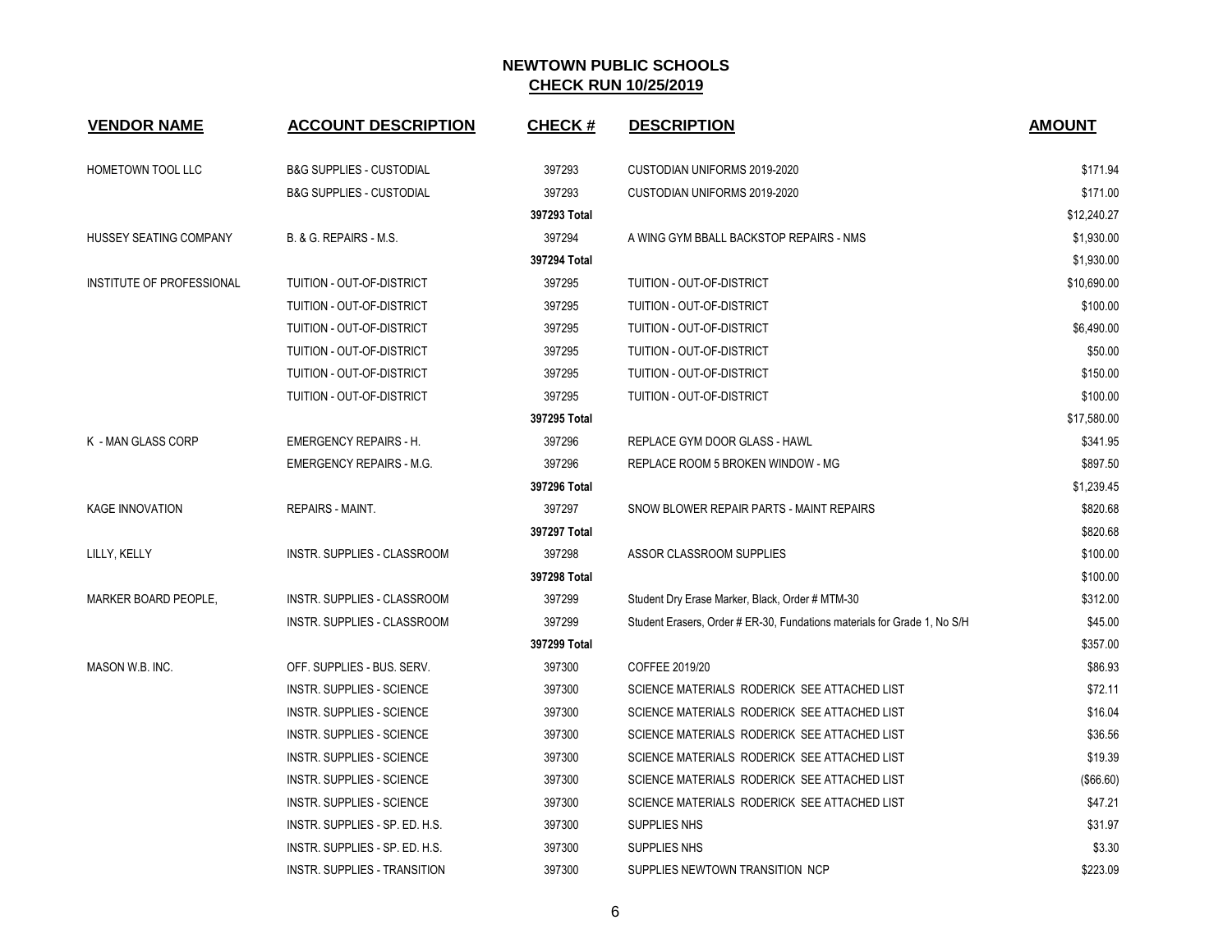| <b>VENDOR NAME</b>          | <b>ACCOUNT DESCRIPTION</b>          | <b>CHECK#</b> | <b>DESCRIPTION</b>                                                       | <b>AMOUNT</b> |
|-----------------------------|-------------------------------------|---------------|--------------------------------------------------------------------------|---------------|
| HOMETOWN TOOL LLC           | <b>B&amp;G SUPPLIES - CUSTODIAL</b> | 397293        | CUSTODIAN UNIFORMS 2019-2020                                             | \$171.94      |
|                             | <b>B&amp;G SUPPLIES - CUSTODIAL</b> | 397293        | CUSTODIAN UNIFORMS 2019-2020                                             | \$171.00      |
|                             |                                     | 397293 Total  |                                                                          | \$12,240.27   |
| HUSSEY SEATING COMPANY      | B. & G. REPAIRS - M.S.              | 397294        | A WING GYM BBALL BACKSTOP REPAIRS - NMS                                  | \$1,930.00    |
|                             |                                     | 397294 Total  |                                                                          | \$1,930.00    |
| INSTITUTE OF PROFESSIONAL   | TUITION - OUT-OF-DISTRICT           | 397295        | TUITION - OUT-OF-DISTRICT                                                | \$10,690.00   |
|                             | TUITION - OUT-OF-DISTRICT           | 397295        | TUITION - OUT-OF-DISTRICT                                                | \$100.00      |
|                             | TUITION - OUT-OF-DISTRICT           | 397295        | TUITION - OUT-OF-DISTRICT                                                | \$6,490.00    |
|                             | TUITION - OUT-OF-DISTRICT           | 397295        | TUITION - OUT-OF-DISTRICT                                                | \$50.00       |
|                             | TUITION - OUT-OF-DISTRICT           | 397295        | TUITION - OUT-OF-DISTRICT                                                | \$150.00      |
|                             | TUITION - OUT-OF-DISTRICT           | 397295        | TUITION - OUT-OF-DISTRICT                                                | \$100.00      |
|                             |                                     | 397295 Total  |                                                                          | \$17,580.00   |
| K - MAN GLASS CORP          | <b>EMERGENCY REPAIRS - H.</b>       | 397296        | REPLACE GYM DOOR GLASS - HAWL                                            | \$341.95      |
|                             | <b>EMERGENCY REPAIRS - M.G.</b>     | 397296        | REPLACE ROOM 5 BROKEN WINDOW - MG                                        | \$897.50      |
|                             |                                     | 397296 Total  |                                                                          | \$1,239.45    |
| <b>KAGE INNOVATION</b>      | REPAIRS - MAINT.                    | 397297        | SNOW BLOWER REPAIR PARTS - MAINT REPAIRS                                 | \$820.68      |
|                             |                                     | 397297 Total  |                                                                          | \$820.68      |
| LILLY, KELLY                | INSTR. SUPPLIES - CLASSROOM         | 397298        | ASSOR CLASSROOM SUPPLIES                                                 | \$100.00      |
|                             |                                     | 397298 Total  |                                                                          | \$100.00      |
| <b>MARKER BOARD PEOPLE.</b> | <b>INSTR. SUPPLIES - CLASSROOM</b>  | 397299        | Student Dry Erase Marker, Black, Order # MTM-30                          | \$312.00      |
|                             | INSTR. SUPPLIES - CLASSROOM         | 397299        | Student Erasers, Order # ER-30, Fundations materials for Grade 1, No S/H | \$45.00       |
|                             |                                     | 397299 Total  |                                                                          | \$357.00      |
| MASON W.B. INC.             | OFF. SUPPLIES - BUS. SERV.          | 397300        | COFFEE 2019/20                                                           | \$86.93       |
|                             | INSTR. SUPPLIES - SCIENCE           | 397300        | SCIENCE MATERIALS RODERICK SEE ATTACHED LIST                             | \$72.11       |
|                             | <b>INSTR. SUPPLIES - SCIENCE</b>    | 397300        | SCIENCE MATERIALS RODERICK SEE ATTACHED LIST                             | \$16.04       |
|                             | <b>INSTR. SUPPLIES - SCIENCE</b>    | 397300        | SCIENCE MATERIALS RODERICK SEE ATTACHED LIST                             | \$36.56       |
|                             | <b>INSTR. SUPPLIES - SCIENCE</b>    | 397300        | SCIENCE MATERIALS RODERICK SEE ATTACHED LIST                             | \$19.39       |
|                             | <b>INSTR. SUPPLIES - SCIENCE</b>    | 397300        | SCIENCE MATERIALS RODERICK SEE ATTACHED LIST                             | (\$66.60)     |
|                             | <b>INSTR. SUPPLIES - SCIENCE</b>    | 397300        | SCIENCE MATERIALS RODERICK SEE ATTACHED LIST                             | \$47.21       |
|                             | INSTR. SUPPLIES - SP. ED. H.S.      | 397300        | SUPPLIES NHS                                                             | \$31.97       |
|                             | INSTR. SUPPLIES - SP. ED. H.S.      | 397300        | SUPPLIES NHS                                                             | \$3.30        |
|                             | INSTR. SUPPLIES - TRANSITION        | 397300        | SUPPLIES NEWTOWN TRANSITION NCP                                          | \$223.09      |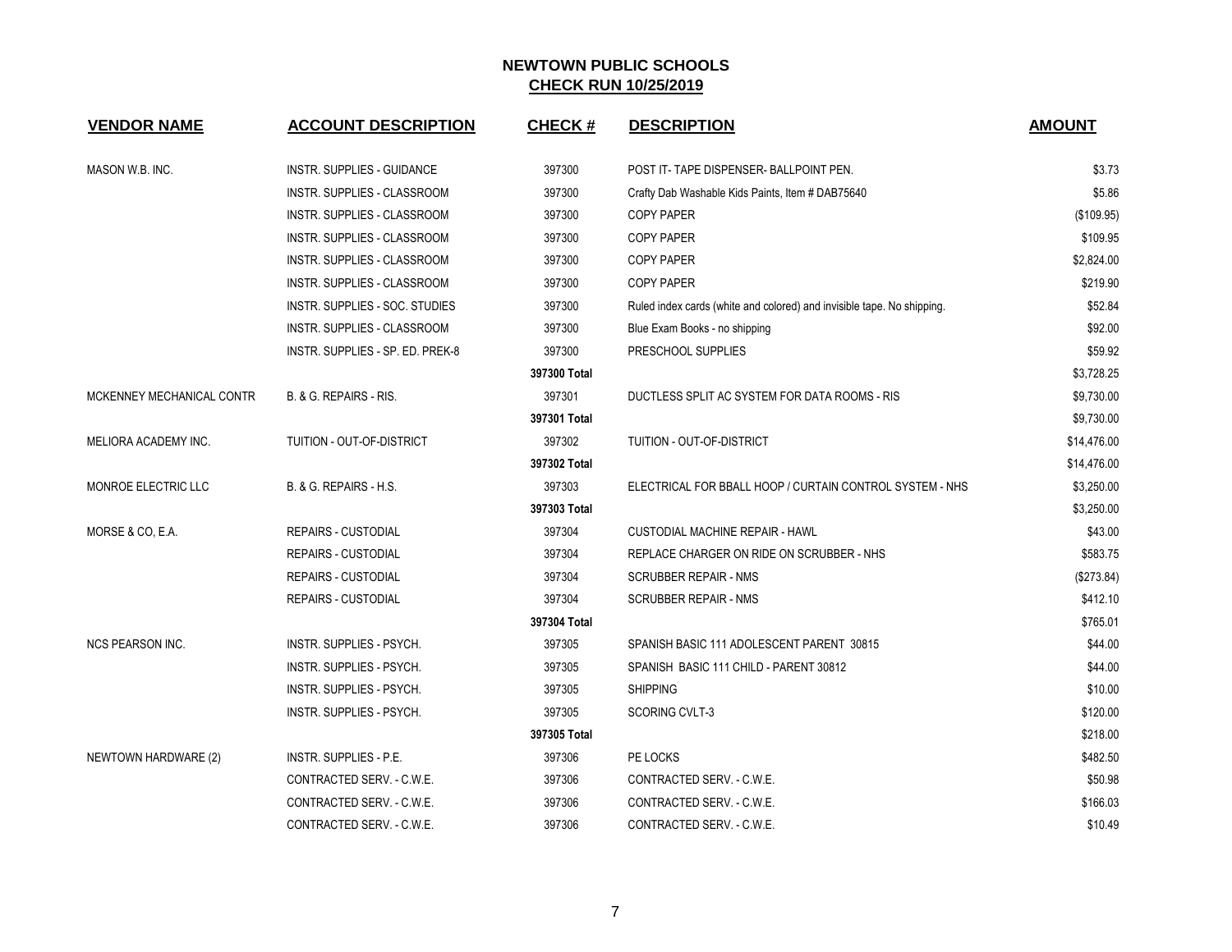| <b>VENDOR NAME</b>        | <b>ACCOUNT DESCRIPTION</b>       | <b>CHECK#</b> | <b>DESCRIPTION</b>                                                     | <b>AMOUNT</b> |
|---------------------------|----------------------------------|---------------|------------------------------------------------------------------------|---------------|
| MASON W.B. INC.           | INSTR. SUPPLIES - GUIDANCE       | 397300        | POST IT-TAPE DISPENSER-BALLPOINT PEN.                                  | \$3.73        |
|                           | INSTR. SUPPLIES - CLASSROOM      | 397300        | Crafty Dab Washable Kids Paints, Item # DAB75640                       | \$5.86        |
|                           | INSTR. SUPPLIES - CLASSROOM      | 397300        | <b>COPY PAPER</b>                                                      | (\$109.95)    |
|                           | INSTR. SUPPLIES - CLASSROOM      | 397300        | <b>COPY PAPER</b>                                                      | \$109.95      |
|                           | INSTR. SUPPLIES - CLASSROOM      | 397300        | <b>COPY PAPER</b>                                                      | \$2,824.00    |
|                           | INSTR. SUPPLIES - CLASSROOM      | 397300        | COPY PAPER                                                             | \$219.90      |
|                           | INSTR. SUPPLIES - SOC. STUDIES   | 397300        | Ruled index cards (white and colored) and invisible tape. No shipping. | \$52.84       |
|                           | INSTR. SUPPLIES - CLASSROOM      | 397300        | Blue Exam Books - no shipping                                          | \$92.00       |
|                           | INSTR. SUPPLIES - SP. ED. PREK-8 | 397300        | PRESCHOOL SUPPLIES                                                     | \$59.92       |
|                           |                                  | 397300 Total  |                                                                        | \$3,728.25    |
| MCKENNEY MECHANICAL CONTR | B. & G. REPAIRS - RIS.           | 397301        | DUCTLESS SPLIT AC SYSTEM FOR DATA ROOMS - RIS                          | \$9,730.00    |
|                           |                                  | 397301 Total  |                                                                        | \$9,730.00    |
| MELIORA ACADEMY INC.      | TUITION - OUT-OF-DISTRICT        | 397302        | TUITION - OUT-OF-DISTRICT                                              | \$14,476.00   |
|                           |                                  | 397302 Total  |                                                                        | \$14,476.00   |
| MONROE ELECTRIC LLC       | B. & G. REPAIRS - H.S.           | 397303        | ELECTRICAL FOR BBALL HOOP / CURTAIN CONTROL SYSTEM - NHS               | \$3,250.00    |
|                           |                                  | 397303 Total  |                                                                        | \$3,250.00    |
| MORSE & CO, E.A.          | <b>REPAIRS - CUSTODIAL</b>       | 397304        | <b>CUSTODIAL MACHINE REPAIR - HAWL</b>                                 | \$43.00       |
|                           | <b>REPAIRS - CUSTODIAL</b>       | 397304        | REPLACE CHARGER ON RIDE ON SCRUBBER - NHS                              | \$583.75      |
|                           | <b>REPAIRS - CUSTODIAL</b>       | 397304        | <b>SCRUBBER REPAIR - NMS</b>                                           | (\$273.84)    |
|                           | <b>REPAIRS - CUSTODIAL</b>       | 397304        | <b>SCRUBBER REPAIR - NMS</b>                                           | \$412.10      |
|                           |                                  | 397304 Total  |                                                                        | \$765.01      |
| <b>NCS PEARSON INC.</b>   | INSTR. SUPPLIES - PSYCH.         | 397305        | SPANISH BASIC 111 ADOLESCENT PARENT 30815                              | \$44.00       |
|                           | INSTR. SUPPLIES - PSYCH.         | 397305        | SPANISH BASIC 111 CHILD - PARENT 30812                                 | \$44.00       |
|                           | INSTR. SUPPLIES - PSYCH.         | 397305        | <b>SHIPPING</b>                                                        | \$10.00       |
|                           | INSTR. SUPPLIES - PSYCH.         | 397305        | <b>SCORING CVLT-3</b>                                                  | \$120.00      |
|                           |                                  | 397305 Total  |                                                                        | \$218.00      |
| NEWTOWN HARDWARE (2)      | INSTR. SUPPLIES - P.E.           | 397306        | PE LOCKS                                                               | \$482.50      |
|                           | CONTRACTED SERV. - C.W.E.        | 397306        | CONTRACTED SERV. - C.W.E.                                              | \$50.98       |
|                           | CONTRACTED SERV. - C.W.E.        | 397306        | CONTRACTED SERV. - C.W.E.                                              | \$166.03      |
|                           | CONTRACTED SERV. - C.W.E.        | 397306        | CONTRACTED SERV. - C.W.E.                                              | \$10.49       |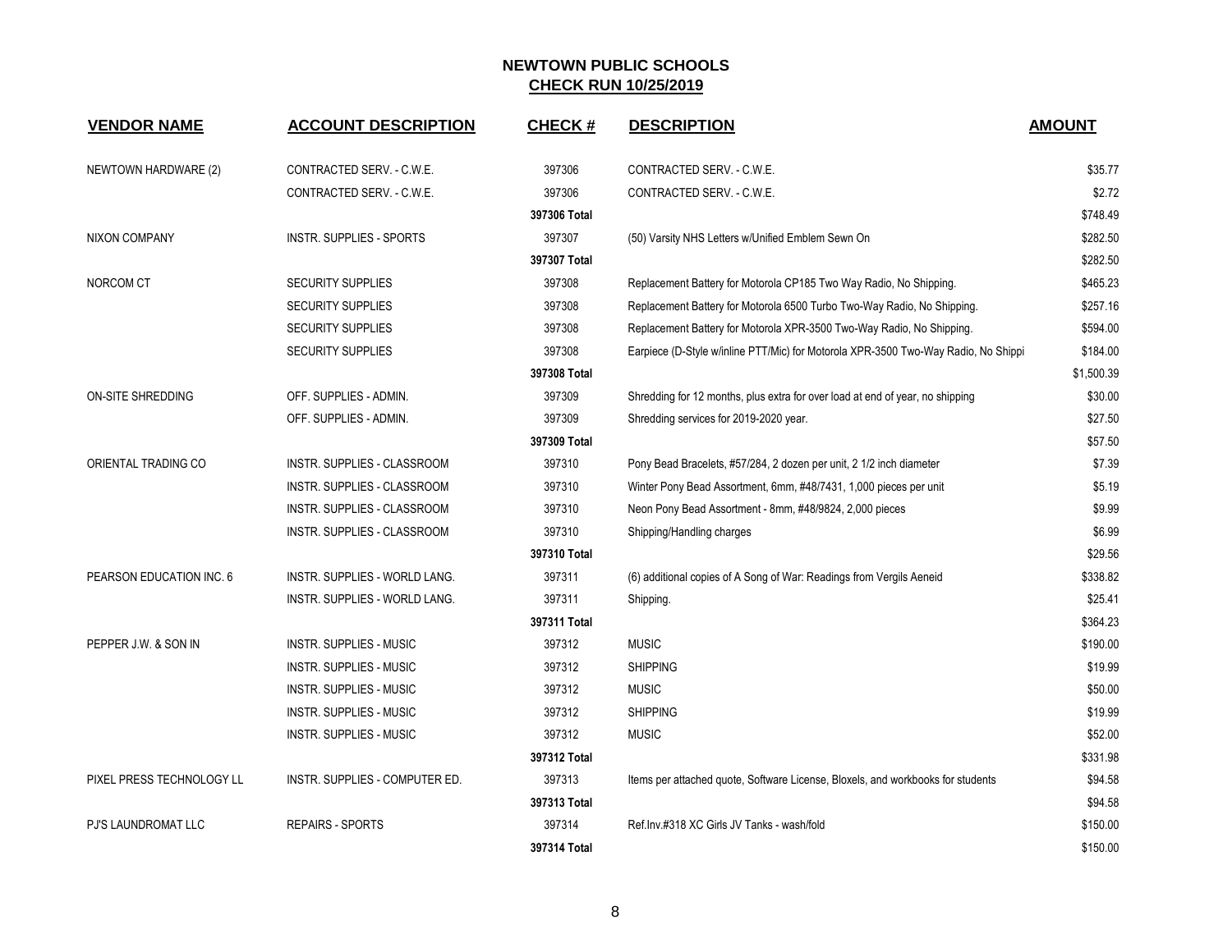| <b>VENDOR NAME</b>        | <b>ACCOUNT DESCRIPTION</b>      | <b>CHECK#</b> | <b>DESCRIPTION</b>                                                                 | <b>AMOUNT</b> |
|---------------------------|---------------------------------|---------------|------------------------------------------------------------------------------------|---------------|
| NEWTOWN HARDWARE (2)      | CONTRACTED SERV. - C.W.E.       | 397306        | CONTRACTED SERV. - C.W.E.                                                          | \$35.77       |
|                           | CONTRACTED SERV. - C.W.E.       | 397306        | CONTRACTED SERV. - C.W.E.                                                          | \$2.72        |
|                           |                                 | 397306 Total  |                                                                                    | \$748.49      |
| <b>NIXON COMPANY</b>      | <b>INSTR. SUPPLIES - SPORTS</b> | 397307        | (50) Varsity NHS Letters w/Unified Emblem Sewn On                                  | \$282.50      |
|                           |                                 | 397307 Total  |                                                                                    | \$282.50      |
| NORCOM CT                 | <b>SECURITY SUPPLIES</b>        | 397308        | Replacement Battery for Motorola CP185 Two Way Radio, No Shipping.                 | \$465.23      |
|                           | <b>SECURITY SUPPLIES</b>        | 397308        | Replacement Battery for Motorola 6500 Turbo Two-Way Radio, No Shipping.            | \$257.16      |
|                           | <b>SECURITY SUPPLIES</b>        | 397308        | Replacement Battery for Motorola XPR-3500 Two-Way Radio, No Shipping.              | \$594.00      |
|                           | <b>SECURITY SUPPLIES</b>        | 397308        | Earpiece (D-Style w/inline PTT/Mic) for Motorola XPR-3500 Two-Way Radio, No Shippi | \$184.00      |
|                           |                                 | 397308 Total  |                                                                                    | \$1,500.39    |
| <b>ON-SITE SHREDDING</b>  | OFF. SUPPLIES - ADMIN.          | 397309        | Shredding for 12 months, plus extra for over load at end of year, no shipping      | \$30.00       |
|                           | OFF. SUPPLIES - ADMIN.          | 397309        | Shredding services for 2019-2020 year.                                             | \$27.50       |
|                           |                                 | 397309 Total  |                                                                                    | \$57.50       |
| ORIENTAL TRADING CO       | INSTR. SUPPLIES - CLASSROOM     | 397310        | Pony Bead Bracelets, #57/284, 2 dozen per unit, 2 1/2 inch diameter                | \$7.39        |
|                           | INSTR. SUPPLIES - CLASSROOM     | 397310        | Winter Pony Bead Assortment, 6mm, #48/7431, 1,000 pieces per unit                  | \$5.19        |
|                           | INSTR. SUPPLIES - CLASSROOM     | 397310        | Neon Pony Bead Assortment - 8mm, #48/9824, 2,000 pieces                            | \$9.99        |
|                           | INSTR. SUPPLIES - CLASSROOM     | 397310        | Shipping/Handling charges                                                          | \$6.99        |
|                           |                                 | 397310 Total  |                                                                                    | \$29.56       |
| PEARSON EDUCATION INC. 6  | INSTR. SUPPLIES - WORLD LANG.   | 397311        | (6) additional copies of A Song of War: Readings from Vergils Aeneid               | \$338.82      |
|                           | INSTR. SUPPLIES - WORLD LANG.   | 397311        | Shipping.                                                                          | \$25.41       |
|                           |                                 | 397311 Total  |                                                                                    | \$364.23      |
| PEPPER J.W. & SON IN      | <b>INSTR. SUPPLIES - MUSIC</b>  | 397312        | <b>MUSIC</b>                                                                       | \$190.00      |
|                           | <b>INSTR. SUPPLIES - MUSIC</b>  | 397312        | <b>SHIPPING</b>                                                                    | \$19.99       |
|                           | <b>INSTR. SUPPLIES - MUSIC</b>  | 397312        | <b>MUSIC</b>                                                                       | \$50.00       |
|                           | <b>INSTR. SUPPLIES - MUSIC</b>  | 397312        | <b>SHIPPING</b>                                                                    | \$19.99       |
|                           | <b>INSTR. SUPPLIES - MUSIC</b>  | 397312        | <b>MUSIC</b>                                                                       | \$52.00       |
|                           |                                 | 397312 Total  |                                                                                    | \$331.98      |
| PIXEL PRESS TECHNOLOGY LL | INSTR. SUPPLIES - COMPUTER ED.  | 397313        | Items per attached quote, Software License, Bloxels, and workbooks for students    | \$94.58       |
|                           |                                 | 397313 Total  |                                                                                    | \$94.58       |
| PJ'S LAUNDROMAT LLC       | <b>REPAIRS - SPORTS</b>         | 397314        | Ref.Inv.#318 XC Girls JV Tanks - wash/fold                                         | \$150.00      |
|                           |                                 | 397314 Total  |                                                                                    | \$150.00      |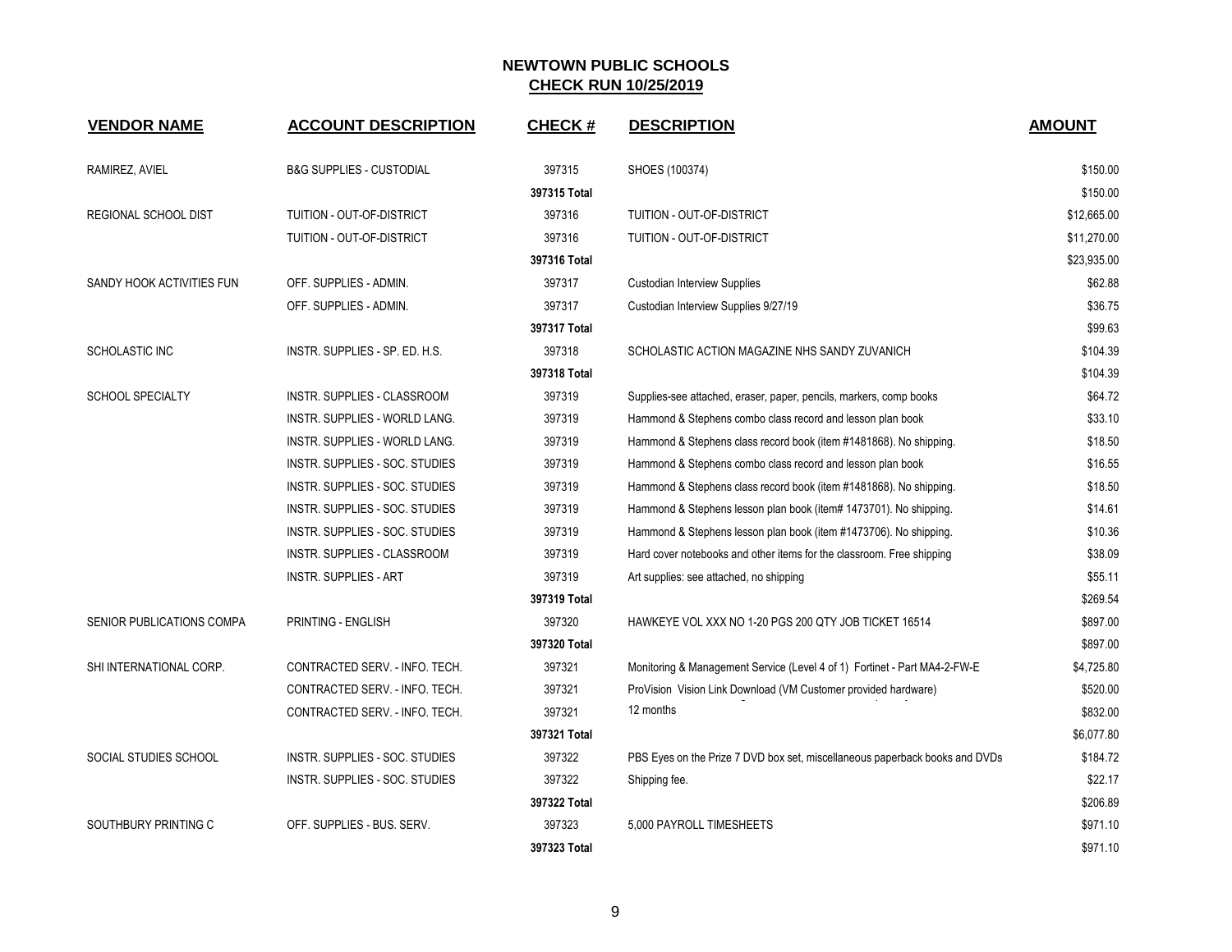| <b>VENDOR NAME</b>        | <b>ACCOUNT DESCRIPTION</b>           | <b>CHECK#</b> | <b>DESCRIPTION</b>                                                          | <b>AMOUNT</b> |
|---------------------------|--------------------------------------|---------------|-----------------------------------------------------------------------------|---------------|
| RAMIREZ, AVIEL            | B&G SUPPLIES - CUSTODIAL             | 397315        | SHOES (100374)                                                              | \$150.00      |
|                           |                                      | 397315 Total  |                                                                             | \$150.00      |
| REGIONAL SCHOOL DIST      | TUITION - OUT-OF-DISTRICT            | 397316        | TUITION - OUT-OF-DISTRICT                                                   | \$12,665.00   |
|                           | TUITION - OUT-OF-DISTRICT            | 397316        | TUITION - OUT-OF-DISTRICT                                                   | \$11,270.00   |
|                           |                                      | 397316 Total  |                                                                             | \$23,935.00   |
| SANDY HOOK ACTIVITIES FUN | OFF. SUPPLIES - ADMIN.               | 397317        | <b>Custodian Interview Supplies</b>                                         | \$62.88       |
|                           | OFF. SUPPLIES - ADMIN.               | 397317        | Custodian Interview Supplies 9/27/19                                        | \$36.75       |
|                           |                                      | 397317 Total  |                                                                             | \$99.63       |
| <b>SCHOLASTIC INC</b>     | INSTR. SUPPLIES - SP. ED. H.S.       | 397318        | SCHOLASTIC ACTION MAGAZINE NHS SANDY ZUVANICH                               | \$104.39      |
|                           |                                      | 397318 Total  |                                                                             | \$104.39      |
| <b>SCHOOL SPECIALTY</b>   | INSTR. SUPPLIES - CLASSROOM          | 397319        | Supplies-see attached, eraser, paper, pencils, markers, comp books          | \$64.72       |
|                           | <b>INSTR. SUPPLIES - WORLD LANG.</b> | 397319        | Hammond & Stephens combo class record and lesson plan book                  | \$33.10       |
|                           | INSTR. SUPPLIES - WORLD LANG.        | 397319        | Hammond & Stephens class record book (item #1481868). No shipping.          | \$18.50       |
|                           | INSTR. SUPPLIES - SOC. STUDIES       | 397319        | Hammond & Stephens combo class record and lesson plan book                  | \$16.55       |
|                           | INSTR. SUPPLIES - SOC. STUDIES       | 397319        | Hammond & Stephens class record book (item #1481868). No shipping.          | \$18.50       |
|                           | INSTR. SUPPLIES - SOC. STUDIES       | 397319        | Hammond & Stephens lesson plan book (item# 1473701). No shipping.           | \$14.61       |
|                           | INSTR. SUPPLIES - SOC. STUDIES       | 397319        | Hammond & Stephens lesson plan book (item #1473706). No shipping.           | \$10.36       |
|                           | INSTR. SUPPLIES - CLASSROOM          | 397319        | Hard cover notebooks and other items for the classroom. Free shipping       | \$38.09       |
|                           | <b>INSTR. SUPPLIES - ART</b>         | 397319        | Art supplies: see attached, no shipping                                     | \$55.11       |
|                           |                                      | 397319 Total  |                                                                             | \$269.54      |
| SENIOR PUBLICATIONS COMPA | PRINTING - ENGLISH                   | 397320        | HAWKEYE VOL XXX NO 1-20 PGS 200 QTY JOB TICKET 16514                        | \$897.00      |
|                           |                                      | 397320 Total  |                                                                             | \$897.00      |
| SHI INTERNATIONAL CORP.   | CONTRACTED SERV. - INFO. TECH.       | 397321        | Monitoring & Management Service (Level 4 of 1) Fortinet - Part MA4-2-FW-E   | \$4,725.80    |
|                           | CONTRACTED SERV. - INFO. TECH.       | 397321        | ProVision Vision Link Download (VM Customer provided hardware)              | \$520.00      |
|                           | CONTRACTED SERV. - INFO. TECH.       | 397321        | 12 months                                                                   | \$832.00      |
|                           |                                      | 397321 Total  |                                                                             | \$6,077.80    |
| SOCIAL STUDIES SCHOOL     | INSTR. SUPPLIES - SOC. STUDIES       | 397322        | PBS Eyes on the Prize 7 DVD box set, miscellaneous paperback books and DVDs | \$184.72      |
|                           | INSTR. SUPPLIES - SOC. STUDIES       | 397322        | Shipping fee.                                                               | \$22.17       |
|                           |                                      | 397322 Total  |                                                                             | \$206.89      |
| SOUTHBURY PRINTING C      | OFF. SUPPLIES - BUS. SERV.           | 397323        | 5,000 PAYROLL TIMESHEETS                                                    | \$971.10      |
|                           |                                      | 397323 Total  |                                                                             | \$971.10      |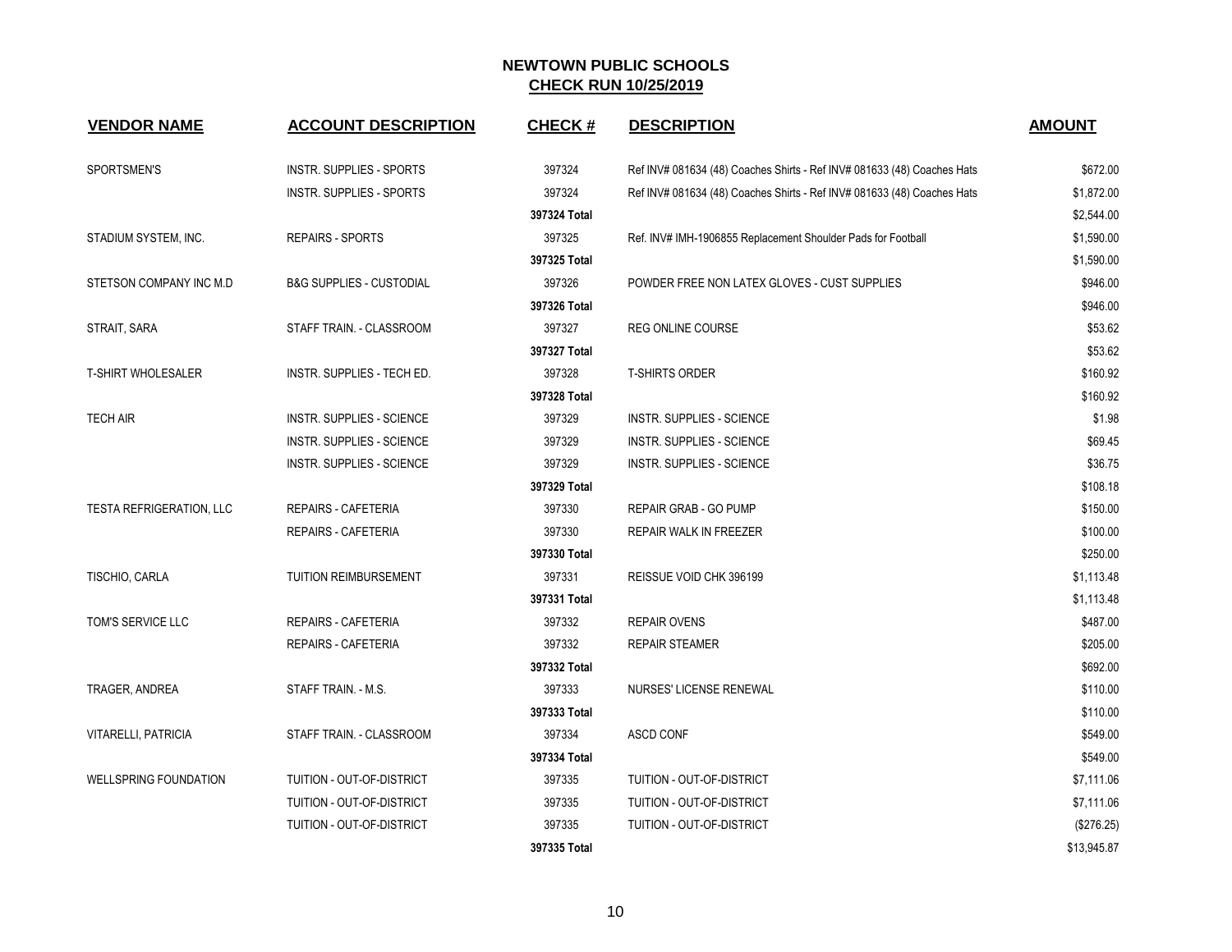| <b>VENDOR NAME</b>              | <b>ACCOUNT DESCRIPTION</b>          | <b>CHECK#</b> | <b>DESCRIPTION</b>                                                      | <b>AMOUNT</b> |
|---------------------------------|-------------------------------------|---------------|-------------------------------------------------------------------------|---------------|
| SPORTSMEN'S                     | INSTR. SUPPLIES - SPORTS            | 397324        | Ref INV# 081634 (48) Coaches Shirts - Ref INV# 081633 (48) Coaches Hats | \$672.00      |
|                                 | INSTR. SUPPLIES - SPORTS            | 397324        | Ref INV# 081634 (48) Coaches Shirts - Ref INV# 081633 (48) Coaches Hats | \$1,872.00    |
|                                 |                                     | 397324 Total  |                                                                         | \$2,544.00    |
| STADIUM SYSTEM, INC.            | REPAIRS - SPORTS                    | 397325        | Ref. INV# IMH-1906855 Replacement Shoulder Pads for Football            | \$1,590.00    |
|                                 |                                     | 397325 Total  |                                                                         | \$1,590.00    |
| STETSON COMPANY INC M.D         | <b>B&amp;G SUPPLIES - CUSTODIAL</b> | 397326        | POWDER FREE NON LATEX GLOVES - CUST SUPPLIES                            | \$946.00      |
|                                 |                                     | 397326 Total  |                                                                         | \$946.00      |
| STRAIT, SARA                    | STAFF TRAIN. - CLASSROOM            | 397327        | <b>REG ONLINE COURSE</b>                                                | \$53.62       |
|                                 |                                     | 397327 Total  |                                                                         | \$53.62       |
| <b>T-SHIRT WHOLESALER</b>       | INSTR. SUPPLIES - TECH ED.          | 397328        | <b>T-SHIRTS ORDER</b>                                                   | \$160.92      |
|                                 |                                     | 397328 Total  |                                                                         | \$160.92      |
| <b>TECH AIR</b>                 | INSTR. SUPPLIES - SCIENCE           | 397329        | INSTR. SUPPLIES - SCIENCE                                               | \$1.98        |
|                                 | <b>INSTR. SUPPLIES - SCIENCE</b>    | 397329        | <b>INSTR. SUPPLIES - SCIENCE</b>                                        | \$69.45       |
|                                 | <b>INSTR. SUPPLIES - SCIENCE</b>    | 397329        | <b>INSTR. SUPPLIES - SCIENCE</b>                                        | \$36.75       |
|                                 |                                     | 397329 Total  |                                                                         | \$108.18      |
| <b>TESTA REFRIGERATION, LLC</b> | <b>REPAIRS - CAFETERIA</b>          | 397330        | REPAIR GRAB - GO PUMP                                                   | \$150.00      |
|                                 | <b>REPAIRS - CAFETERIA</b>          | 397330        | REPAIR WALK IN FREEZER                                                  | \$100.00      |
|                                 |                                     | 397330 Total  |                                                                         | \$250.00      |
| TISCHIO, CARLA                  | TUITION REIMBURSEMENT               | 397331        | REISSUE VOID CHK 396199                                                 | \$1,113.48    |
|                                 |                                     | 397331 Total  |                                                                         | \$1,113.48    |
| TOM'S SERVICE LLC               | <b>REPAIRS - CAFETERIA</b>          | 397332        | <b>REPAIR OVENS</b>                                                     | \$487.00      |
|                                 | REPAIRS - CAFETERIA                 | 397332        | <b>REPAIR STEAMER</b>                                                   | \$205.00      |
|                                 |                                     | 397332 Total  |                                                                         | \$692.00      |
| TRAGER, ANDREA                  | STAFF TRAIN. - M.S.                 | 397333        | NURSES' LICENSE RENEWAL                                                 | \$110.00      |
|                                 |                                     | 397333 Total  |                                                                         | \$110.00      |
| VITARELLI, PATRICIA             | STAFF TRAIN. - CLASSROOM            | 397334        | <b>ASCD CONF</b>                                                        | \$549.00      |
|                                 |                                     | 397334 Total  |                                                                         | \$549.00      |
| <b>WELLSPRING FOUNDATION</b>    | TUITION - OUT-OF-DISTRICT           | 397335        | TUITION - OUT-OF-DISTRICT                                               | \$7,111.06    |
|                                 | TUITION - OUT-OF-DISTRICT           | 397335        | TUITION - OUT-OF-DISTRICT                                               | \$7,111.06    |
|                                 | TUITION - OUT-OF-DISTRICT           | 397335        | TUITION - OUT-OF-DISTRICT                                               | (\$276.25)    |
|                                 |                                     | 397335 Total  |                                                                         | \$13,945.87   |